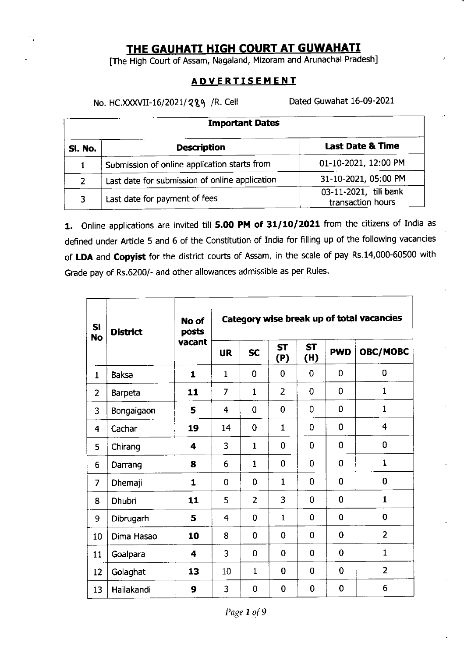# THE GAUHATI HIGH COURT AT GUWAHATI

[The High Court of Assam, Nagaland, Mizoram and Arunachal Pradesh]

#### ADVERTISEMENT

No. HC.XXXVII-16/2021/ 2 & 9 /R. Cell Dated Guwahat 16-09-2021

| <b>Important Dates</b> |                                                |                                            |  |  |
|------------------------|------------------------------------------------|--------------------------------------------|--|--|
| SI. No.                | <b>Description</b>                             | <b>Last Date &amp; Time</b>                |  |  |
| $\mathbf{1}$           | Submission of online application starts from   | 01-10-2021, 12:00 PM                       |  |  |
| $\mathcal{P}$          | Last date for submission of online application | 31-10-2021, 05:00 PM                       |  |  |
|                        | Last date for payment of fees                  | 03-11-2021, till bank<br>transaction hours |  |  |

1. Online applications are invited till 5.00 PM of 31/10/2021 from the citizens of India as defined under Article 5 and 6 of the Constitution of India for filling up of the following vacancies of LDA and Copyist for the district courts of Assam, in the scale of pay Rs.14,000-60500 with Grade pay of Rs.6200/- and other allowances admissible as per Rules.

| SI<br><b>No</b> | <b>District</b> | No of<br><b>posts</b><br>vacant | Category wise break up of total vacancies |                |                  |                  |             |                         |
|-----------------|-----------------|---------------------------------|-------------------------------------------|----------------|------------------|------------------|-------------|-------------------------|
|                 |                 |                                 | <b>UR</b>                                 | <b>SC</b>      | <b>ST</b><br>(P) | <b>ST</b><br>(H) | <b>PWD</b>  | OBC/MOBC                |
| $\mathbf{1}$    | <b>Baksa</b>    | $\mathbf{1}$                    | $\mathbf{1}$                              | $\bf{0}$       | $\mathbf 0$      | $\mathbf 0$      | 0           | 0                       |
| $\overline{2}$  | <b>Barpeta</b>  | 11                              | 7                                         | $\mathbf{1}$   | $\overline{2}$   | $\Omega$         | 0           | $\mathbf{1}$            |
| 3               | Bongaigaon      | 5                               | $\overline{4}$                            | 0              | $\mathbf 0$      | 0                | 0           | $\mathbf{1}$            |
| $\overline{4}$  | Cachar          | 19                              | 14                                        | $\mathbf 0$    | $\mathbf{1}$     | $\mathbf 0$      | 0           | $\overline{\mathbf{4}}$ |
| 5               | Chirang         | $\blacktriangleleft$            | 3                                         | $\mathbf{1}$   | $\mathbf{0}$     | $\Omega$         | 0           | $\mathbf 0$             |
| 6               | Darrang         | 8                               | 6                                         | $\mathbf{1}$   | $\mathbf 0$      | 0                | 0           | $\mathbf{1}$            |
| $\overline{7}$  | Dhemaji         | 1                               | $\Omega$                                  | 0              | $\mathbf{1}$     | 0                | 0           | $\bf{0}$                |
| 8               | <b>Dhubri</b>   | 11                              | 5                                         | $\overline{2}$ | $\overline{3}$   | $\mathbf 0$      | $\mathbf 0$ | $\mathbf{1}$            |
| 9               | Dibrugarh       | 5                               | $\overline{4}$                            | $\mathbf 0$    | $\mathbf{1}$     | 0                | 0           | $\mathbf 0$             |
| 10              | Dima Hasao      | 10                              | 8                                         | $\mathbf 0$    | $\bf{0}$         | $\mathbf 0$      | 0           | $\overline{2}$          |
| 11              | Goalpara        | 4                               | 3                                         | $\bf{0}$       | 0                | 0                | 0           | $\mathbf{1}$            |
| 12              | Golaghat        | 13                              | 10                                        | $\mathbf{1}$   | $\Omega$         | 0                | $\bf{0}$    | $\overline{2}$          |
| 13              | Hailakandi      | 9                               | 3                                         | 0              | $\mathbf 0$      | 0                | 0           | 6                       |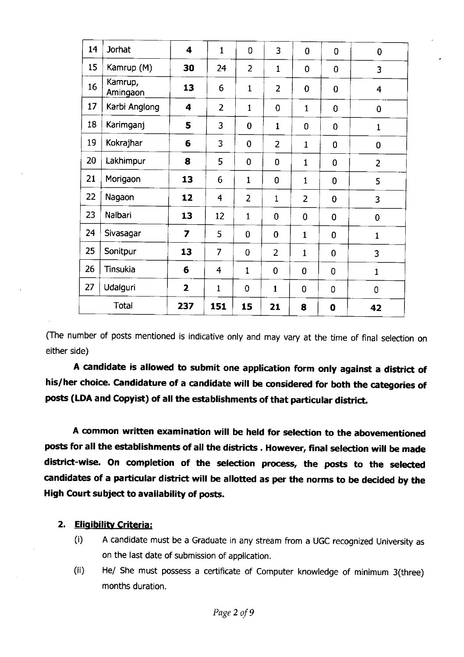| 14 | <b>Jorhat</b>       | 4                       | $\mathbf{1}$   | $\overline{0}$ | 3              | $\mathbf{0}$   | $\overline{0}$ | $\bf{0}$                |
|----|---------------------|-------------------------|----------------|----------------|----------------|----------------|----------------|-------------------------|
| 15 | Kamrup (M)          | 30                      | 24             | $\overline{2}$ | $\mathbf 1$    | 0              | $\bf{0}$       | 3                       |
| 16 | Kamrup,<br>Amingaon | 13                      | 6              | $\mathbf{1}$   | $\overline{2}$ | $\mathbf 0$    | $\bf{0}$       | $\overline{\mathbf{4}}$ |
| 17 | Karbi Anglong       | 4                       | $\overline{2}$ | $\mathbf{1}$   | 0              | $\mathbf{1}$   | $\overline{0}$ | $\bf{0}$                |
| 18 | Karimganj           | 5                       | 3              | 0              | 1              | 0              | 0              | $\mathbf{1}$            |
| 19 | Kokrajhar           | 6                       | 3              | $\bf{0}$       | $\overline{2}$ | $\mathbf{1}$   | 0              | $\bf{0}$                |
| 20 | Lakhimpur           | 8                       | 5              | 0              | 0              | $\mathbf{1}$   | 0              | $\overline{2}$          |
| 21 | Morigaon            | 13                      | 6              | $\mathbf{1}$   | 0              | $\mathbf{1}$   | 0              | 5                       |
| 22 | Nagaon              | 12                      | $\overline{4}$ | $\overline{2}$ | $\mathbf{1}$   | $\overline{2}$ | $\bf{0}$       | 3                       |
| 23 | Nalbari             | 13                      | 12             | $\mathbf{1}$   | $\bf{0}$       | 0              | 0              | $\bf{0}$                |
| 24 | Sivasagar           | 7                       | 5              | $\mathbf 0$    | $\overline{0}$ | $\mathbf{1}$   | 0              | $\mathbf{1}$            |
| 25 | Sonitpur            | 13                      | 7              | $\bf{0}$       | $\overline{2}$ | $\mathbf{1}$   | 0              | $\overline{3}$          |
| 26 | <b>Tinsukia</b>     | 6                       | $\overline{4}$ | $\mathbf{1}$   | $\overline{0}$ | 0              | $\mathbf 0$    | $\mathbf{1}$            |
| 27 | Udalguri            | $\overline{\mathbf{z}}$ | $\mathbf{1}$   | $\overline{0}$ | $\mathbf{1}$   | 0              | $\mathbf{0}$   | $\mathbf 0$             |
|    | Total               |                         | 151            | 15             | 21             | 8              | $\mathbf 0$    | 42                      |

(The number of posts mentioned is indicative only and may vary at the time of final selection on either side)

A candidate is allowed to submit one application form only against a district of his/her choice. Candidature of a candidate will be considered for both the categories of posts (LDA and Copyist) of all the establishments of that particular district.

A common written examination will be held for selection to the abovementioned posts for all the establishments of all the districts . However, final selection will be made district-wise. On completion of the selection process, the posts to the selected candidates of a particular district will be allotted as per the norms to be decided by the High Court subject to availability of posts.

## 2. Eligibility Criteria:

- (i) A candidate must be a Graduate in any stream from a UGC recognized University as on the last date of submission of application.
- (ii) He/ She must possess a certificate of Computer knowledge of minimum 3(three) months duration.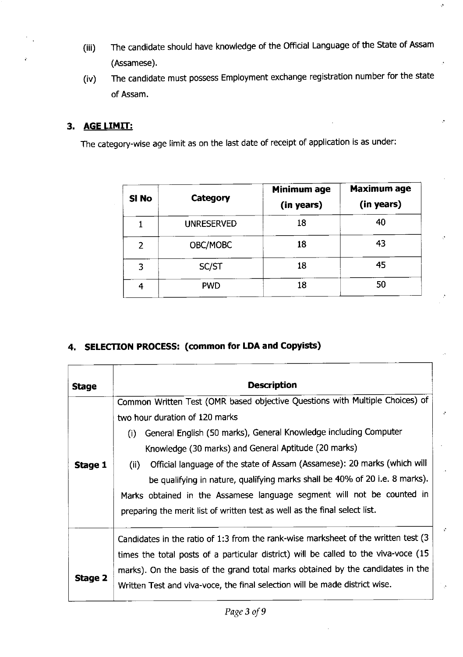(iii) The candidate should have knowledge of the official Language of the state of Assam (Assamese).

 $\gamma^{\rm h}$ 

(iv) The candidate must possess Employment exchange registration number for the state of Assam.

## 3. AGE LIMIT:

The category-wise age limit as on the last date of receipt of application is as under:

| SI No          | Category          | Minimum age<br>(in years) | <b>Maximum age</b><br>(in years) |
|----------------|-------------------|---------------------------|----------------------------------|
|                | <b>UNRESERVED</b> | 18                        | 40                               |
| $\overline{2}$ | OBC/MOBC          | 18                        | 43                               |
| 3              | SC/ST             | 18                        | 45                               |
| 4              | <b>PWD</b>        | 18                        | 50                               |

## 4. SELECTION PROCESS: (common for LDA and Copyists)

| <b>Stage</b> | <b>Description</b>                                                                                                                                                                                                                                                                                                                                                                                                                                                                                                                                                           |  |  |  |  |  |
|--------------|------------------------------------------------------------------------------------------------------------------------------------------------------------------------------------------------------------------------------------------------------------------------------------------------------------------------------------------------------------------------------------------------------------------------------------------------------------------------------------------------------------------------------------------------------------------------------|--|--|--|--|--|
| Stage 1      | Common Written Test (OMR based objective Questions with Multiple Choices) of<br>two hour duration of 120 marks<br>General English (50 marks), General Knowledge including Computer<br>(i)<br>Knowledge (30 marks) and General Aptitude (20 marks)<br>Official language of the state of Assam (Assamese): 20 marks (which will<br>(ii)<br>be qualifying in nature, qualifying marks shall be 40% of 20 i.e. 8 marks).<br>Marks obtained in the Assamese language segment will not be counted in<br>preparing the merit list of written test as well as the final select list. |  |  |  |  |  |
| Stage 2      | Candidates in the ratio of 1:3 from the rank-wise marksheet of the written test (3<br>times the total posts of a particular district) will be called to the viva-voce (15<br>marks). On the basis of the grand total marks obtained by the candidates in the<br>Written Test and viva-voce, the final selection will be made district wise.                                                                                                                                                                                                                                  |  |  |  |  |  |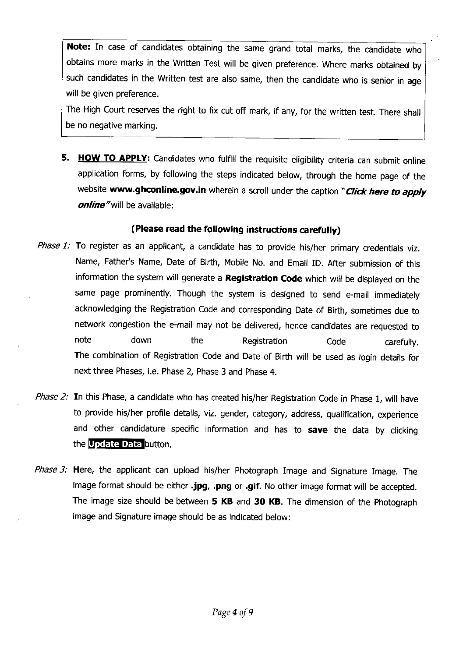Note: In case of candidates obtaining the same grand total marks, the candidate who obtains more marks in the Written Test will be given preference. Where marks obtained by such candidates in the written test are also same, then the candidate who is senior in age will be given preference.

The High Court reserves the right to fix cut off mark, if any, for the written test. There shall be no negative marking.

5. HOW TO APPLY: Candidates who fulfill the requisite eligibility criteria can submit online application forms, by following the steps indicated below, through the home page of the website www.ghconline.gov.in wherein a scroll under the caption "Click here to apply online" will be available;

## (Please read the following instructions carefully)

- Phase 1: To register as an applicant, a candidate has to provide his/her primary credentials viz. Name, Father's Name, Date of Birth, Mobile No. and Email ID. After submission of this information the system will generate a Registration Code which will be displayed on the same page prominently. Though the system is designed to send e-mail immediately acknowledging the Registration code and corresponding Date of Birth, sometimes due to network congestion the e-mail may not be delivered, hence candidates are requested to note down the Registration Code carefully. The combination of Registration Code and Date of Birth will be used as login details for next three Phases, i.e. Phase 2, Phase 3 and Phase 4.
- Phase 2: In this Phase, a candidate who has created his/her Registration Code in Phase 1, will have to provide his/her profile details, viz. gender, category, address, qualification, experience and other candidature specific information and has to save the data by clicking the **Update Data button.**
- Phase 3: Here, the applicant can upload his/her Photograph Image and Signature Image. The image format should be either .jpg, .png or .gif. No other image format will be accepted. The image size should be between 5 KB and 30 KB. The dimension of the Photograph image and Signature image should be as indicated below: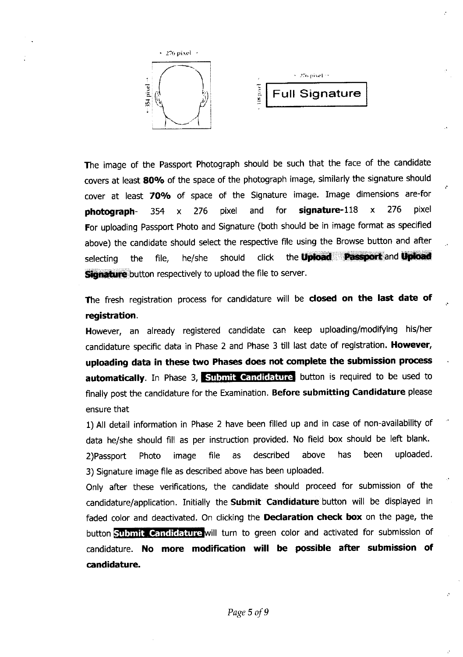

The image of the Passport Photograph should be such that the face of the candidate covers at least 80% of the space of the photograph image, similarly the signature should cover at least 70% of space of the Signature image. Image dimensions are-for **photograph**- 354 x 276 pixel and for **signature-**118 x 276 pixel For uploading Passport Photo and Signature (both should be in image format as specified above) the candidate should select the respective file using the Browse button and after selecting the file, he/she should click the **Upload: Passport** and Upload Signature button respectively to upload the file to server.

The fresh registration process for candidature will be closed on the last date of registration.

However, an already registered candidate can keep uploading/modifying his/her candidature specific data in Phase 2 and Phase 3 till last date of registration. However, uploading data in these two Phases does not complete the submission process automatically. In Phase 3, Submit Candidature button is required to be used to finally post the candidature for the Examination. Before submitting Candidature please ensure that

1) All detail information in Phase 2 have been filled up and in case of non-availability of data he/she should fill as per instruction provided. No field box should be left blank. 2)Passport Photo image file as described above has been uploaded. 3) Signature image file as described above has been uploaded.

Only after these verifications, the candidate should proceed for submission of the candidature/application. Initially the Submit Candidature button will be displayed in faded color and deactivated. On clicking the **Declaration check box** on the page, the button Submit Candidature will turn to green color and activated for submission of candidature. No more modification will be possible after submission of candidature,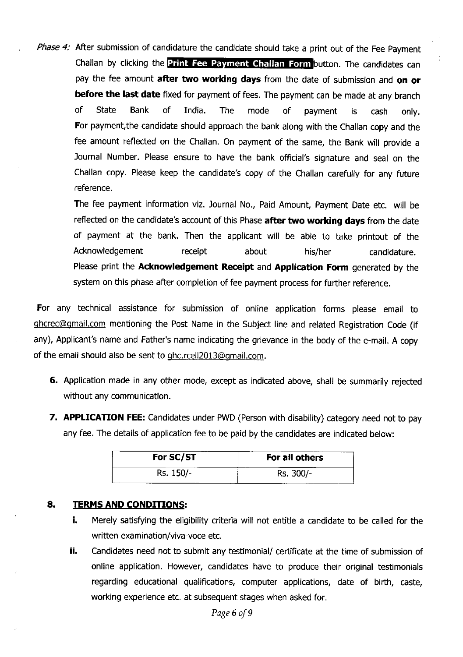Phase 4: After submission of candidature the candidate should take a print out of the Fee Payment Challan by clicking the Print Fee Payment Challan Form button. The candidates can pay the fee amount after two working days from the date of submission and on or before the last date fixed for payment of fees. The payment can be made at any branch of State Bank of India. The mode of payment is cash only. For payment, the candidate should approach the bank along with the Challan copy and the fee amount reflected on the Challan. On payment of the same, the Bank will provide <sup>a</sup> Journal Number. Please ensure to have the bank official's signature and seal on the Challan copy. Please keep the candidate's copy of the Challan carefully for any future reference.

The fee payment information viz. Journal No., Paid Amount, Payment Date etc. will be reflected on the candidate's account of this Phase after two working days from the date of payment at the bank. Then the applicant will be able to take printout of the Acknowledgement receipt about his/her candidature. Please print the Acknowledgement Receipt and Application Form generated by the system on this phase after completion of fee payment process for further reference.

For any technical assistance for submission of online application forms please email to ghcrec@gmail.com mentioning the Post Name in the Subject line and related Registration Code (if any), Applicant's name and Father's name indicating the grievance in the body of the e-mail. A copy of the email should also be sent to qhc. reell2013@qmail.com.

- 6. Application made in any other mode, except as indicated above, shall be summarily rejected without any communication.
- 7. **APPLICATION FEE:** Candidates under PWD (Person with disability) category need not to pay any fee. The details of application fee to be paid by the candidates are indicated below:

| For SC/ST | For all others |
|-----------|----------------|
| Rs. 150/- | Rs. 300/-      |

#### TERMS AND CONDITIONS: 8.

- **i.** Merely satisfying the eligibility criteria will not entitle a candidate to be called for the written examination/viva-voce etc.
- ii. Candidates need not to submit any testimonial/ certificate at the time of submission of online application. However, candidates have to produce their original testimonials regarding educational qualifications, computer applications, date of birth, caste, working experience etc. at subsequent stages when asked for.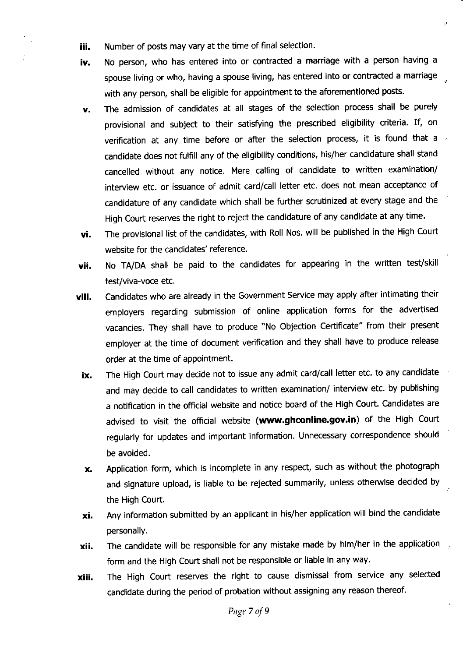- iii. Number of posts may vary at the time of final selection.
- lY. No person, who has entered into or contracted a rnarriage with a person having <sup>a</sup> spouse living or who, having a spouse living, has entered into or contracted a marriage with any person, shall be eligible for appointment to the aforementioned posts.
- v The admission of candidates at all stages of the selection process shall be purely provisional and subject to their satisfying the prescribed eligibility criteria. If, on verification at any time before or after the selection process, it is found that a candidate does not fulfill any of the eligibility conditions, his/her candidature shall stand cancelled without any notice. Mere calling of candidate to written examination/ interview etc. Or issuance of admit card/call letter etc. does not mean acceptance of candidature of any candidate which shall be further scrutinized at every stage and the High court reserves the right to reject the candidature of any candidate at any time.
- vi. The provisional list of the candidates, with Roll Nos. will be published in the High court website for the candidates' reference.
- vii. No TA/DA shall be paid to the candidates for appearing in the written test/skill test/viva-voce etc.
- viii. candidates who are already in the Government service may apply after intimating their employers regarding submission of online application forms for the advertised vacancies. They shall have to produce "No objection certificate" from their present employer at the time of document verification and they shall have to produce release order at the time of appointment.
	- lx. The High Court may decide not to issue any admit card/call letter etc. to any candidate and may decide to call candidates to written examination/ interview etc. by publishing a notification in the official website and notice board of the High Court. Candidates are advised to visit the official website (www.ghconline.gov.in) of the High Court regularly for updates and important information. Unnecessary correspondence should be avoided.
	- x. Application form, which is incomplete in any respect, such as without the photograph and signature upload, is liable to be rejected summarily. unless otherwise decided by the High Court.
	- Any information submitted by an applicant in his/her application wlll bind the candidate personally. xt
- xll. The candidate will be responsible for any mistake made by him/her in the application form and the High Court shall not be responsible or liable in any way.
- The High court reserves the right to cause dismissal from service any selected candidate during the period of probation without assigning any reason thereof. xlll.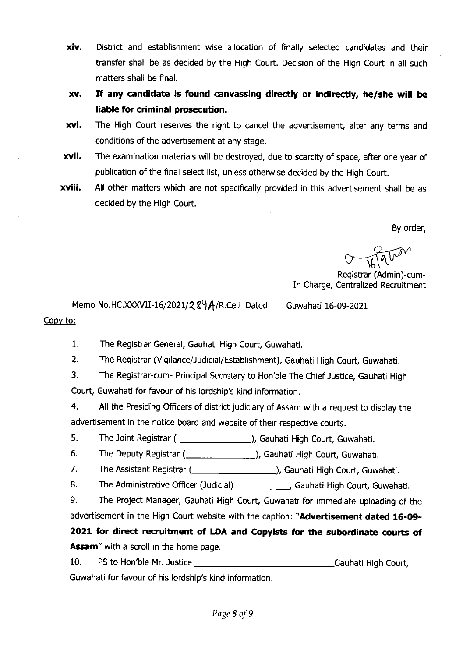- xiv. District and establishment wise allocation of finally selected candidates and their transfer shall be as decided by the High Court. Decision of the High Court in all such matters shall be final.
- XY If any candidate is found canvassing directly or indirecdy, he/she will be liable for criminal prosecution.
- xvt. The High Court reserves the right to cancel the advertisement, alter any terms and conditions of the advertisement at any stage.
- xvii. The examination materials will be destroyed, due to scarcity of space, after one year of publication of the final select list, unless otherwise decided by the High Court.
- xviii. All other matters which are not specifically provided in this advertisement shall be as decided by the High Court.

By order,

 $\sqrt{4\pi}$ 

Registrar (Admin)-cum-In Charge, Centralized Recruitment

Memo No.HC.XXXVII-16/2021/2 $8\frac{9}{16}$  /R.Cell Dated Copy to: Guwahati 16-09-2021

1. The Registrar General, Gauhati High Court. Guwahati.

2. The Registrar (Vigilance/Judicial/Establishment), Gauhati High Court, Guwahati.

3. The Registrar-cum- Principal Secretary to Hon'ble The Chief Justice, Gauhati High Court, Guwahati for favour of his lordship's kind information.

4. All the Presiding Officers of district judiciary of Assam with a request to display the advertisement in the notice board and website of their respective courts.

5. The Joint Registrar (Chambridge Library Cauhati High Court, Guwahati.

6. The Deputy Registrar (Chammadorellic and Digital High Court, Guwahati.

7. The Assistant Registrar (*Chambridge Lemmann, Gauhati High Court, Guwahati.* 

8. The Administrative Officer (Judicial) Gauhati High Court, Guwahati.

9. The Project Manager, Gauhati High Court, Guwahati for immediate uploading of the

advertisement in the High Court website with the caption: "Advertisement dated 16-09-

2O21 for direct recruitment of LDA and Copyists for the subordinate courts of Assam" with a scroll in the home page.

10. PS to Hon'ble Mr. Justice <u>Cause Court, Cauper Court, Caupati High Court</u>, Guwahati for favour of his lordship's kind information.